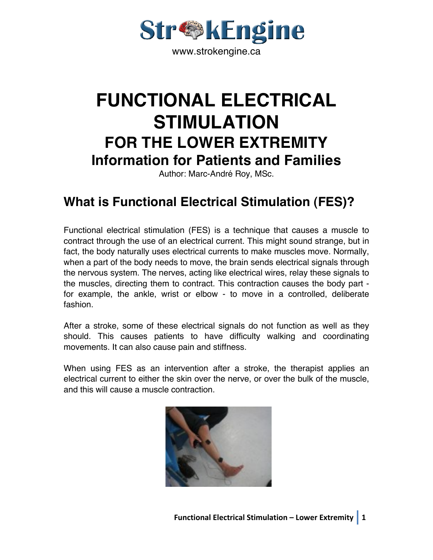

# **FUNCTIONAL ELECTRICAL STIMULATION FOR THE LOWER EXTREMITY Information for Patients and Families**

Author: Marc-André Roy, MSc.

# **What is Functional Electrical Stimulation (FES)?**

Functional electrical stimulation (FES) is a technique that causes a muscle to contract through the use of an electrical current. This might sound strange, but in fact, the body naturally uses electrical currents to make muscles move. Normally, when a part of the body needs to move, the brain sends electrical signals through the nervous system. The nerves, acting like electrical wires, relay these signals to the muscles, directing them to contract. This contraction causes the body part for example, the ankle, wrist or elbow - to move in a controlled, deliberate fashion.

After a stroke, some of these electrical signals do not function as well as they should. This causes patients to have difficulty walking and coordinating movements. It can also cause pain and stiffness.

When using FES as an intervention after a stroke, the therapist applies an electrical current to either the skin over the nerve, or over the bulk of the muscle, and this will cause a muscle contraction.

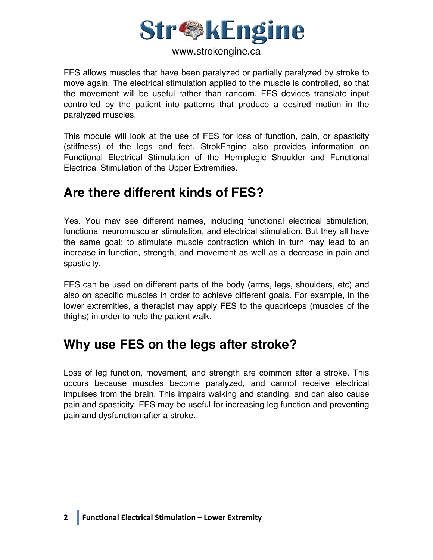

FES allows muscles that have been paralyzed or partially paralyzed by stroke to move again. The electrical stimulation applied to the muscle is controlled, so that the movement will be useful rather than random. FES devices translate input controlled by the patient into patterns that produce a desired motion in the paralyzed muscles.

This module will look at the use of FES for loss of function, pain, or spasticity (stiffness) of the legs and feet. StrokEngine also provides information on Functional Electrical Stimulation of the Hemiplegic Shoulder and Functional Electrical Stimulation of the Upper Extremities.

# **Are there different kinds of FES?**

Yes. You may see different names, including functional electrical stimulation, functional neuromuscular stimulation, and electrical stimulation. But they all have the same goal: to stimulate muscle contraction which in turn may lead to an increase in function, strength, and movement as well as a decrease in pain and spasticity.

FES can be used on different parts of the body (arms, legs, shoulders, etc) and also on specific muscles in order to achieve different goals. For example, in the lower extremities, a therapist may apply FES to the quadriceps (muscles of the thighs) in order to help the patient walk.

### **Why use FES on the legs after stroke?**

Loss of leg function, movement, and strength are common after a stroke. This occurs because muscles become paralyzed, and cannot receive electrical impulses from the brain. This impairs walking and standing, and can also cause pain and spasticity. FES may be useful for increasing leg function and preventing pain and dysfunction after a stroke.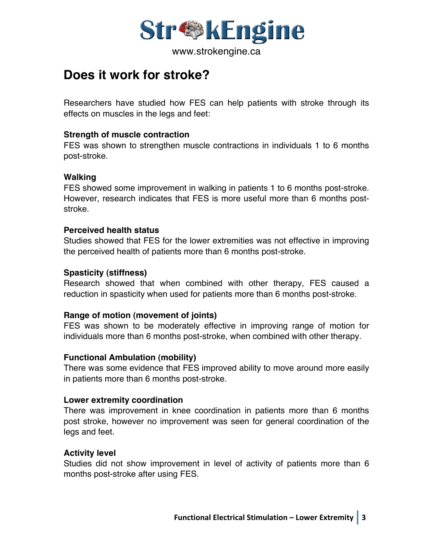

### **Does it work for stroke?**

Researchers have studied how FES can help patients with stroke through its effects on muscles in the legs and feet:

#### **Strength of muscle contraction**

FES was shown to strengthen muscle contractions in individuals 1 to 6 months post-stroke.

#### **Walking**

FES showed some improvement in walking in patients 1 to 6 months post-stroke. However, research indicates that FES is more useful more than 6 months poststroke.

#### **Perceived health status**

Studies showed that FES for the lower extremities was not effective in improving the perceived health of patients more than 6 months post-stroke.

#### **Spasticity (stiffness)**

Research showed that when combined with other therapy, FES caused a reduction in spasticity when used for patients more than 6 months post-stroke.

#### **Range of motion (movement of joints)**

FES was shown to be moderately effective in improving range of motion for individuals more than 6 months post-stroke, when combined with other therapy.

#### **Functional Ambulation (mobility)**

There was some evidence that FES improved ability to move around more easily in patients more than 6 months post-stroke.

#### **Lower extremity coordination**

There was improvement in knee coordination in patients more than 6 months post stroke, however no improvement was seen for general coordination of the legs and feet.

#### **Activity level**

Studies did not show improvement in level of activity of patients more than 6 months post-stroke after using FES.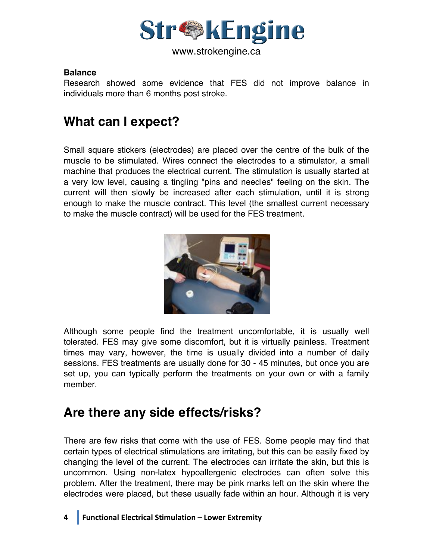

#### **Balance**

Research showed some evidence that FES did not improve balance in individuals more than 6 months post stroke.

# **What can I expect?**

Small square stickers (electrodes) are placed over the centre of the bulk of the muscle to be stimulated. Wires connect the electrodes to a stimulator, a small machine that produces the electrical current. The stimulation is usually started at a very low level, causing a tingling "pins and needles" feeling on the skin. The current will then slowly be increased after each stimulation, until it is strong enough to make the muscle contract. This level (the smallest current necessary to make the muscle contract) will be used for the FES treatment.



Although some people find the treatment uncomfortable, it is usually well tolerated. FES may give some discomfort, but it is virtually painless. Treatment times may vary, however, the time is usually divided into a number of daily sessions. FES treatments are usually done for 30 - 45 minutes, but once you are set up, you can typically perform the treatments on your own or with a family member.

# **Are there any side effects/risks?**

There are few risks that come with the use of FES. Some people may find that certain types of electrical stimulations are irritating, but this can be easily fixed by changing the level of the current. The electrodes can irritate the skin, but this is uncommon. Using non-latex hypoallergenic electrodes can often solve this problem. After the treatment, there may be pink marks left on the skin where the electrodes were placed, but these usually fade within an hour. Although it is very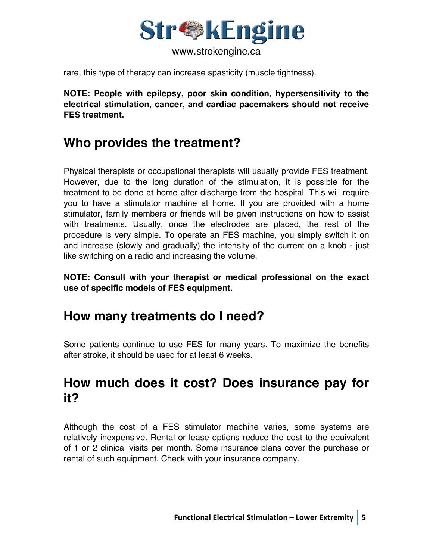

rare, this type of therapy can increase spasticity (muscle tightness).

**NOTE: People with epilepsy, poor skin condition, hypersensitivity to the electrical stimulation, cancer, and cardiac pacemakers should not receive FES treatment.**

### **Who provides the treatment?**

Physical therapists or occupational therapists will usually provide FES treatment. However, due to the long duration of the stimulation, it is possible for the treatment to be done at home after discharge from the hospital. This will require you to have a stimulator machine at home. If you are provided with a home stimulator, family members or friends will be given instructions on how to assist with treatments. Usually, once the electrodes are placed, the rest of the procedure is very simple. To operate an FES machine, you simply switch it on and increase (slowly and gradually) the intensity of the current on a knob - just like switching on a radio and increasing the volume.

**NOTE: Consult with your therapist or medical professional on the exact use of specific models of FES equipment.**

# **How many treatments do I need?**

Some patients continue to use FES for many years. To maximize the benefits after stroke, it should be used for at least 6 weeks.

# **How much does it cost? Does insurance pay for it?**

Although the cost of a FES stimulator machine varies, some systems are relatively inexpensive. Rental or lease options reduce the cost to the equivalent of 1 or 2 clinical visits per month. Some insurance plans cover the purchase or rental of such equipment. Check with your insurance company.